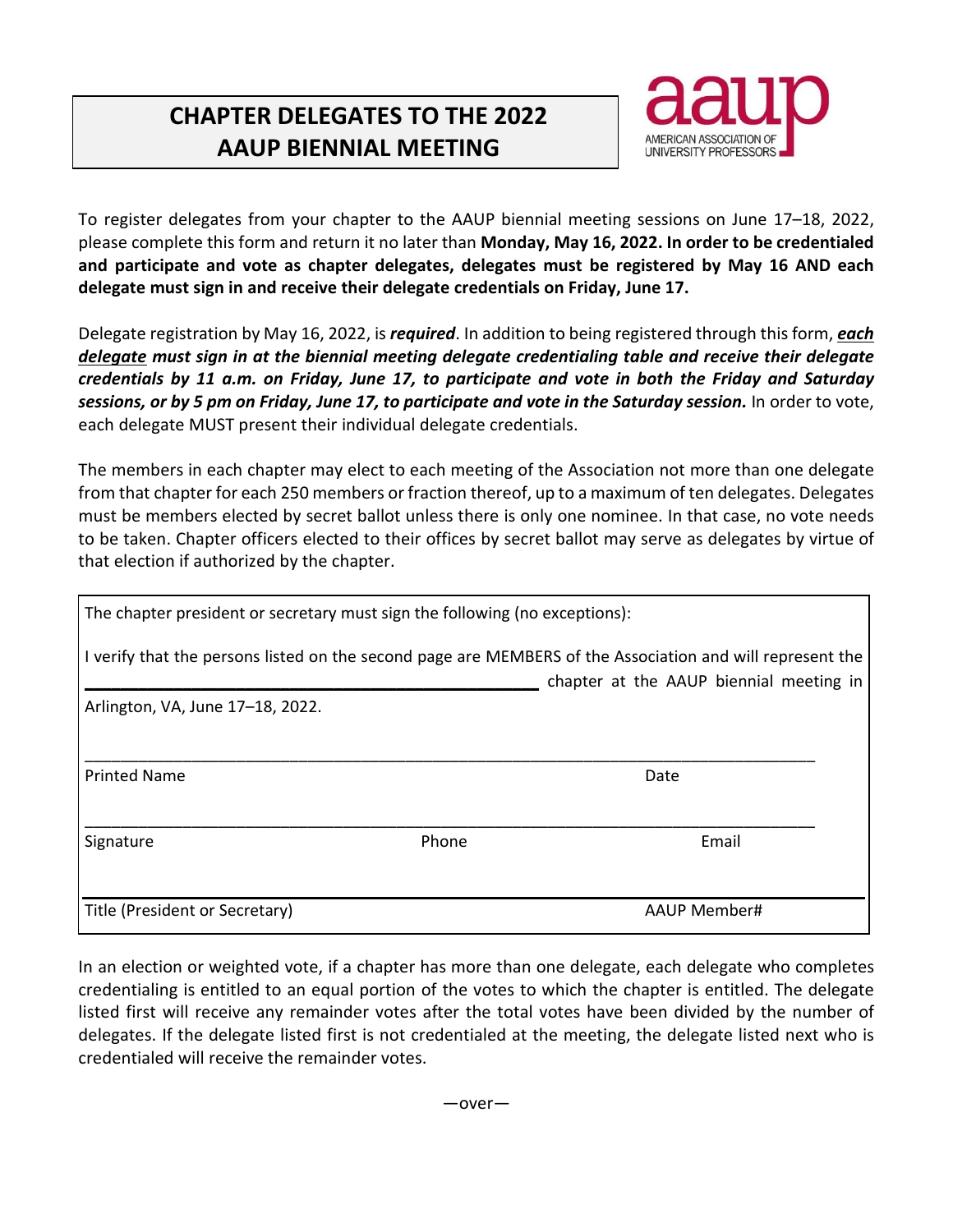## **CHAPTER DELEGATES TO THE 2022 AAUP BIENNIAL MEETING**



To register delegates from your chapter to the AAUP biennial meeting sessions on June 17–18, 2022, please complete this form and return it no later than **Monday, May 16, 2022. In order to be credentialed and participate and vote as chapter delegates, delegates must be registered by May 16 AND each delegate must sign in and receive their delegate credentials on Friday, June 17.**

Delegate registration by May 16, 2022, is *required*. In addition to being registered through this form, *each delegate must sign in at the biennial meeting delegate credentialing table and receive their delegate credentials by 11 a.m. on Friday, June 17, to participate and vote in both the Friday and Saturday* sessions, or by 5 pm on Friday, June 17, to participate and vote in the Saturday session. In order to vote, each delegate MUST present their individual delegate credentials.

The members in each chapter may elect to each meeting of the Association not more than one delegate from that chapter for each 250 members or fraction thereof, up to a maximum of ten delegates. Delegates must be members elected by secret ballot unless there is only one nominee. In that case, no vote needs to be taken. Chapter officers elected to their offices by secret ballot may serve as delegates by virtue of that election if authorized by the chapter.

| The chapter president or secretary must sign the following (no exceptions): |       |                                                                                                                                                      |
|-----------------------------------------------------------------------------|-------|------------------------------------------------------------------------------------------------------------------------------------------------------|
|                                                                             |       | I verify that the persons listed on the second page are MEMBERS of the Association and will represent the<br>chapter at the AAUP biennial meeting in |
| Arlington, VA, June 17-18, 2022.                                            |       |                                                                                                                                                      |
|                                                                             |       |                                                                                                                                                      |
| <b>Printed Name</b>                                                         |       | Date                                                                                                                                                 |
|                                                                             |       |                                                                                                                                                      |
| Signature                                                                   | Phone | Email                                                                                                                                                |
|                                                                             |       |                                                                                                                                                      |
| Title (President or Secretary)                                              |       | AAUP Member#                                                                                                                                         |

In an election or weighted vote, if a chapter has more than one delegate, each delegate who completes credentialing is entitled to an equal portion of the votes to which the chapter is entitled. The delegate listed first will receive any remainder votes after the total votes have been divided by the number of delegates. If the delegate listed first is not credentialed at the meeting, the delegate listed next who is credentialed will receive the remainder votes.